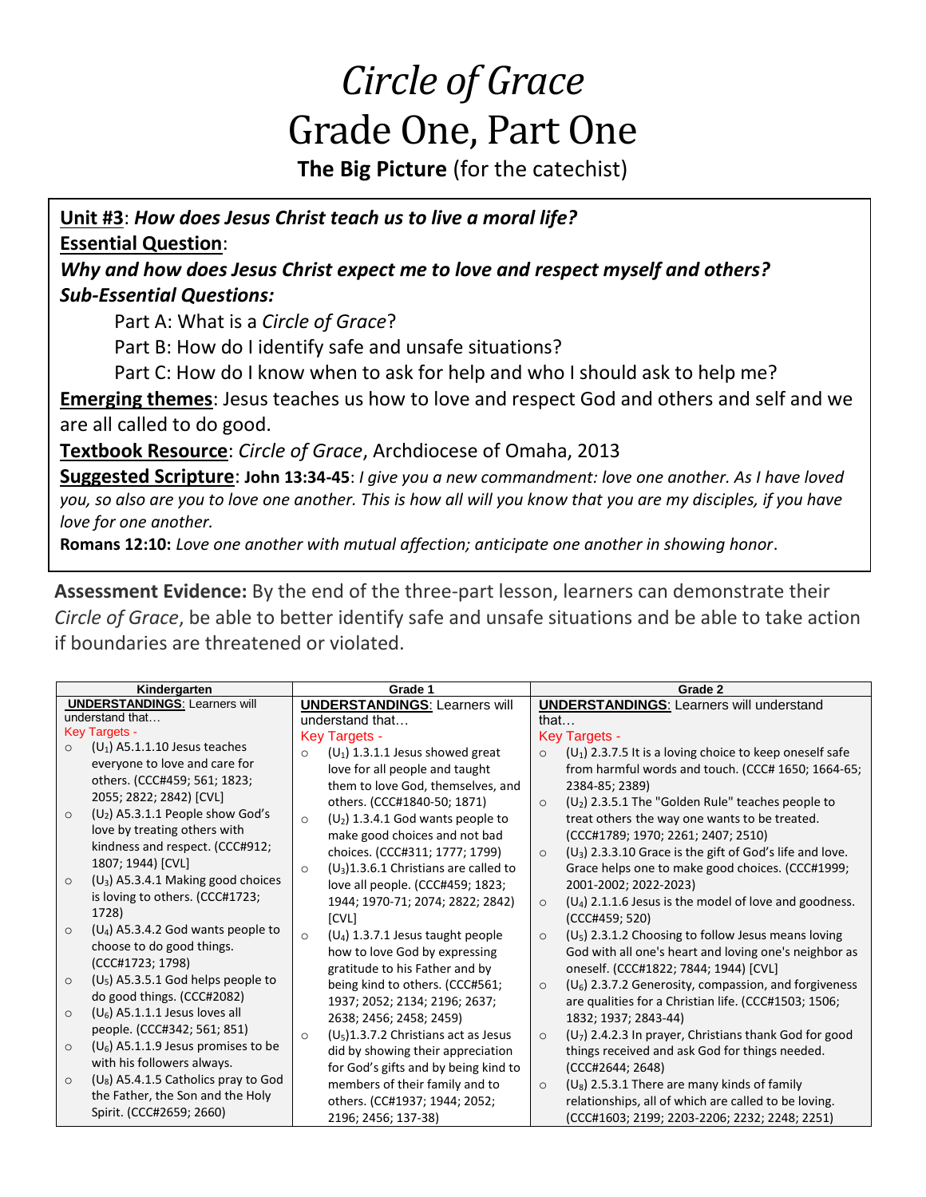# *Circle of Grace* Grade One, Part One

**The Big Picture** (for the catechist)

**Unit #3**: *How does Jesus Christ teach us to live a moral life?* **Essential Question**:

*Why and how does Jesus Christ expect me to love and respect myself and others? Sub-Essential Questions:*

Part A: What is a *Circle of Grace*?

Part B: How do I identify safe and unsafe situations?

Part C: How do I know when to ask for help and who I should ask to help me?

**Emerging themes**: Jesus teaches us how to love and respect God and others and self and we are all called to do good.

**Textbook Resource**: *Circle of Grace*, Archdiocese of Omaha, 2013

**Suggested Scripture**: **John 13:34-45**: *I give you a new commandment: love one another. As I have loved you, so also are you to love one another. This is how all will you know that you are my disciples, if you have love for one another.*

**Romans 12:10:** *Love one another with mutual affection; anticipate one another in showing honor*.

**Assessment Evidence:** By the end of the three-part lesson, learners can demonstrate their *Circle of Grace*, be able to better identify safe and unsafe situations and be able to take action if boundaries are threatened or violated.

| Kindergarten                                      | Grade 1                                             | Grade 2                                                                      |
|---------------------------------------------------|-----------------------------------------------------|------------------------------------------------------------------------------|
| <b>UNDERSTANDINGS: Learners will</b>              | <b>UNDERSTANDINGS: Learners will</b>                | <b>UNDERSTANDINGS:</b> Learners will understand                              |
| understand that                                   | understand that                                     | that                                                                         |
| <b>Key Targets -</b>                              | <b>Key Targets -</b>                                | <b>Key Targets -</b>                                                         |
| $(U_1)$ A5.1.1.10 Jesus teaches<br>$\circ$        | $(U_1)$ 1.3.1.1 Jesus showed great<br>$\circ$       | $(U_1)$ 2.3.7.5 It is a loving choice to keep oneself safe<br>$\circ$        |
| everyone to love and care for                     | love for all people and taught                      | from harmful words and touch. (CCC# 1650; 1664-65;                           |
| others. (CCC#459; 561; 1823;                      | them to love God, themselves, and                   | 2384-85; 2389)                                                               |
| 2055; 2822; 2842) [CVL]                           | others. (CCC#1840-50; 1871)                         | $(U_2)$ 2.3.5.1 The "Golden Rule" teaches people to<br>$\circ$               |
| $(U_2)$ A5.3.1.1 People show God's<br>$\circ$     | $(U_2)$ 1.3.4.1 God wants people to<br>$\circ$      | treat others the way one wants to be treated.                                |
| love by treating others with                      | make good choices and not bad                       | (CCC#1789; 1970; 2261; 2407; 2510)                                           |
| kindness and respect. (CCC#912;                   | choices. (CCC#311; 1777; 1799)                      | $(U_3)$ 2.3.3.10 Grace is the gift of God's life and love.<br>$\circ$        |
| 1807; 1944) [CVL]                                 | $(U_3)$ 1.3.6.1 Christians are called to<br>$\circ$ | Grace helps one to make good choices. (CCC#1999;                             |
| $(U_3)$ A5.3.4.1 Making good choices<br>$\circ$   | love all people. (CCC#459; 1823;                    | 2001-2002; 2022-2023)                                                        |
| is loving to others. (CCC#1723;                   | 1944; 1970-71; 2074; 2822; 2842)                    | $(U_4)$ 2.1.1.6 Jesus is the model of love and goodness.<br>$\circ$          |
| 1728)                                             | [CVL]                                               | (CCC#459; 520)                                                               |
| $(U_4)$ A5.3.4.2 God wants people to<br>$\circ$   | $(U_4)$ 1.3.7.1 Jesus taught people<br>$\circ$      | (U <sub>5</sub> ) 2.3.1.2 Choosing to follow Jesus means loving<br>$\circ$   |
| choose to do good things.                         | how to love God by expressing                       | God with all one's heart and loving one's neighbor as                        |
| (CCC#1723; 1798)                                  | gratitude to his Father and by                      | oneself. (CCC#1822; 7844; 1944) [CVL]                                        |
| $(U_5)$ A5.3.5.1 God helps people to<br>$\circ$   | being kind to others. (CCC#561;                     | (U <sub>6</sub> ) 2.3.7.2 Generosity, compassion, and forgiveness<br>$\circ$ |
| do good things. (CCC#2082)                        | 1937; 2052; 2134; 2196; 2637;                       | are qualities for a Christian life. (CCC#1503; 1506;                         |
| $(U_6)$ A5.1.1.1 Jesus loves all<br>$\circ$       | 2638; 2456; 2458; 2459)                             | 1832; 1937; 2843-44)                                                         |
| people. (CCC#342; 561; 851)                       | $(U_5)1.3.7.2$ Christians act as Jesus<br>$\circ$   | $(U_7)$ 2.4.2.3 In prayer, Christians thank God for good<br>$\circ$          |
| $(U_6)$ A5.1.1.9 Jesus promises to be<br>$\circ$  | did by showing their appreciation                   | things received and ask God for things needed.                               |
| with his followers always.                        | for God's gifts and by being kind to                | (CCC#2644; 2648)                                                             |
| $(U_8)$ A5.4.1.5 Catholics pray to God<br>$\circ$ | members of their family and to                      | $(U_8)$ 2.5.3.1 There are many kinds of family<br>$\circ$                    |
| the Father, the Son and the Holy                  | others. (CC#1937; 1944; 2052;                       | relationships, all of which are called to be loving.                         |
| Spirit. (CCC#2659; 2660)                          | 2196; 2456; 137-38)                                 | (CCC#1603; 2199; 2203-2206; 2232; 2248; 2251)                                |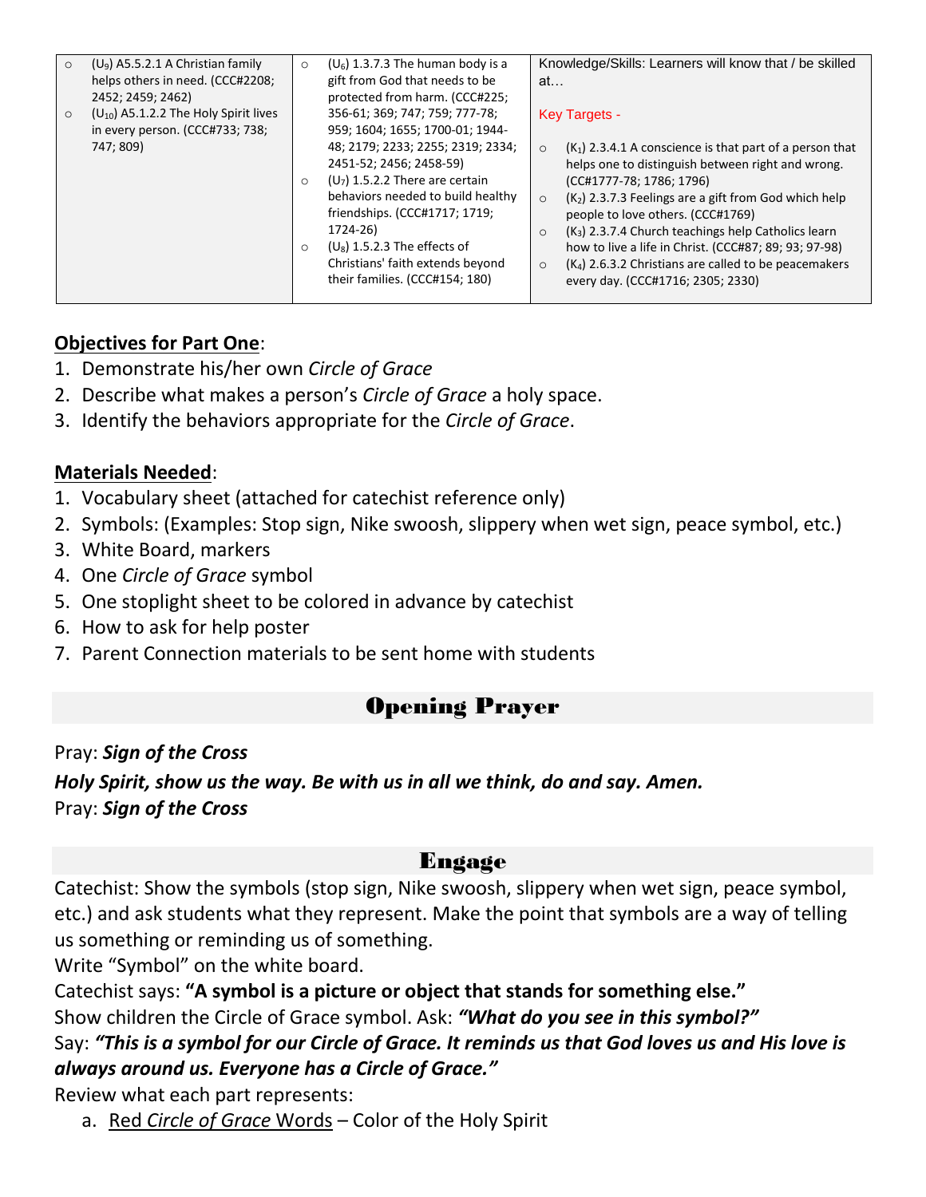| $(U_9)$ A5.5.2.1 A Christian family<br>$\circ$<br>helps others in need. (CCC#2208;<br>2452; 2459; 2462)<br>$(U_{10})$ A5.1.2.2 The Holy Spirit lives<br>$\Omega$<br>in every person. (CCC#733; 738; | $(U_6)$ 1.3.7.3 The human body is a<br>$\circ$<br>gift from God that needs to be<br>protected from harm. (CCC#225;<br>356-61; 369; 747; 759; 777-78;<br>959; 1604; 1655; 1700-01; 1944-                                                                                                                            | Knowledge/Skills: Learners will know that / be skilled<br>at<br><b>Key Targets -</b>                                                                                                                                                                                                                                                                                                                                                                                                                     |
|-----------------------------------------------------------------------------------------------------------------------------------------------------------------------------------------------------|--------------------------------------------------------------------------------------------------------------------------------------------------------------------------------------------------------------------------------------------------------------------------------------------------------------------|----------------------------------------------------------------------------------------------------------------------------------------------------------------------------------------------------------------------------------------------------------------------------------------------------------------------------------------------------------------------------------------------------------------------------------------------------------------------------------------------------------|
| 747; 809)                                                                                                                                                                                           | 48; 2179; 2233; 2255; 2319; 2334;<br>2451-52; 2456; 2458-59)<br>$(U_7)$ 1.5.2.2 There are certain<br>$\Omega$<br>behaviors needed to build healthy<br>friendships. (CCC#1717; 1719;<br>1724-26)<br>$(U_8)$ 1.5.2.3 The effects of<br>$\circ$<br>Christians' faith extends beyond<br>their families. (CCC#154; 180) | $(K_1)$ 2.3.4.1 A conscience is that part of a person that<br>$\Omega$<br>helps one to distinguish between right and wrong.<br>(CC#1777-78; 1786; 1796)<br>$(K2)$ 2.3.7.3 Feelings are a gift from God which help<br>$\circ$<br>people to love others. (CCC#1769)<br>$(K_3)$ 2.3.7.4 Church teachings help Catholics learn<br>$\circ$<br>how to live a life in Christ. (CCC#87; 89; 93; 97-98)<br>$(K4)$ 2.6.3.2 Christians are called to be peacemakers<br>$\circ$<br>every day. (CCC#1716; 2305; 2330) |

#### **Objectives for Part One**:

- 1. Demonstrate his/her own *Circle of Grace*
- 2. Describe what makes a person's *Circle of Grace* a holy space.
- 3. Identify the behaviors appropriate for the *Circle of Grace*.

#### **Materials Needed**:

- 1. Vocabulary sheet (attached for catechist reference only)
- 2. Symbols: (Examples: Stop sign, Nike swoosh, slippery when wet sign, peace symbol, etc.)
- 3. White Board, markers
- 4. One *Circle of Grace* symbol
- 5. One stoplight sheet to be colored in advance by catechist
- 6. How to ask for help poster
- 7. Parent Connection materials to be sent home with students

## Opening Prayer

Pray: *Sign of the Cross Holy Spirit, show us the way. Be with us in all we think, do and say. Amen.* Pray: *Sign of the Cross*

## Engage

Catechist: Show the symbols (stop sign, Nike swoosh, slippery when wet sign, peace symbol, etc.) and ask students what they represent. Make the point that symbols are a way of telling us something or reminding us of something.

Write "Symbol" on the white board.

Catechist says: **"A symbol is a picture or object that stands for something else."** 

Show children the Circle of Grace symbol. Ask: *"What do you see in this symbol?"* 

Say: *"This is a symbol for our Circle of Grace. It reminds us that God loves us and His love is always around us. Everyone has a Circle of Grace."*

Review what each part represents:

a. Red *Circle of Grace* Words – Color of the Holy Spirit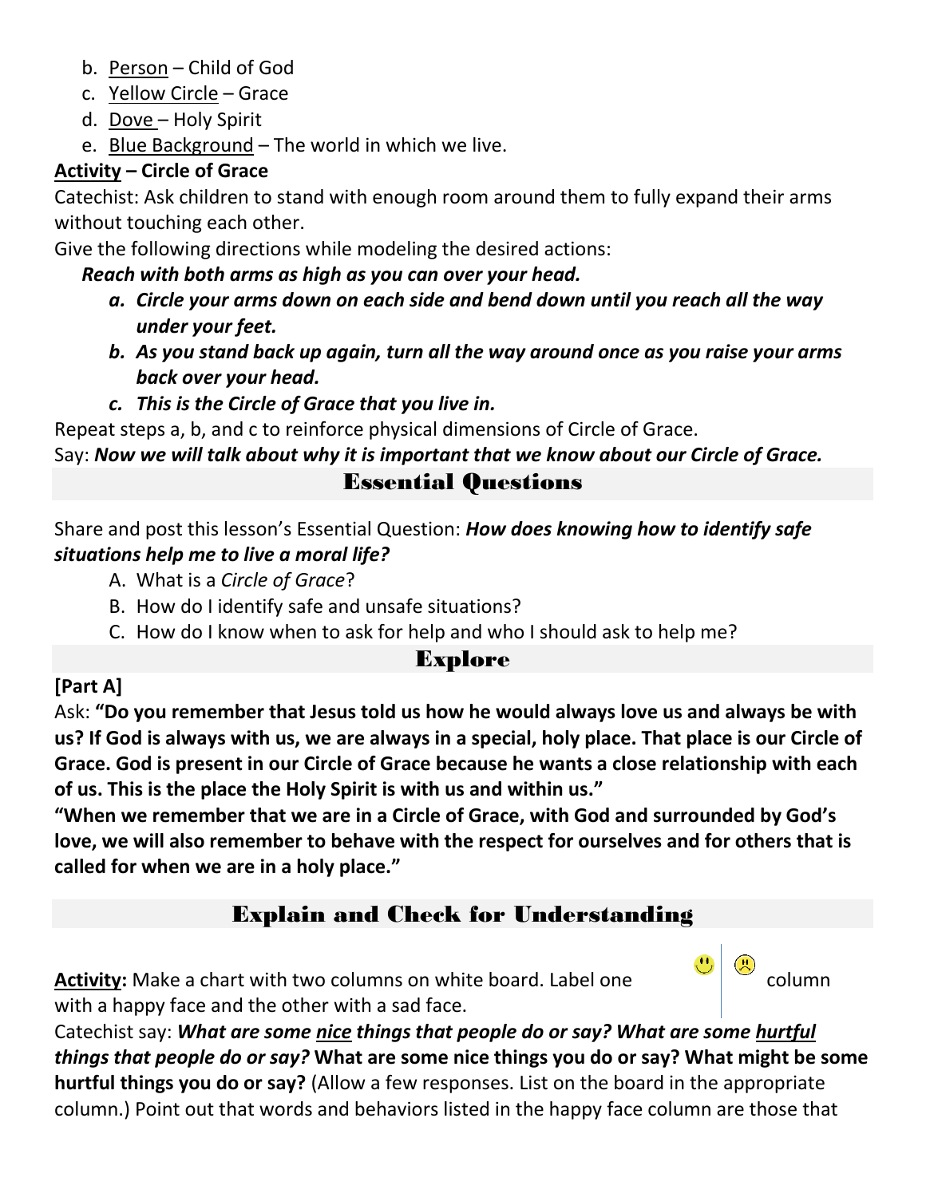- b. Person Child of God
- c. Yellow Circle Grace
- d. Dove Holy Spirit
- e. Blue Background The world in which we live.

## **Activity – Circle of Grace**

Catechist: Ask children to stand with enough room around them to fully expand their arms without touching each other.

Give the following directions while modeling the desired actions:

## *Reach with both arms as high as you can over your head.*

- *a. Circle your arms down on each side and bend down until you reach all the way under your feet.*
- *b. As you stand back up again, turn all the way around once as you raise your arms back over your head.*
- *c. This is the Circle of Grace that you live in.*

Repeat steps a, b, and c to reinforce physical dimensions of Circle of Grace.

Say: *Now we will talk about why it is important that we know about our Circle of Grace.*

## Essential Questions

Share and post this lesson's Essential Question: *How does knowing how to identify safe situations help me to live a moral life?*

- A. What is a *Circle of Grace*?
- B. How do I identify safe and unsafe situations?
- C. How do I know when to ask for help and who I should ask to help me?

# Explore

## **[Part A]**

Ask: **"Do you remember that Jesus told us how he would always love us and always be with us? If God is always with us, we are always in a special, holy place. That place is our Circle of Grace. God is present in our Circle of Grace because he wants a close relationship with each of us. This is the place the Holy Spirit is with us and within us."**

**"When we remember that we are in a Circle of Grace, with God and surrounded by God's love, we will also remember to behave with the respect for ourselves and for others that is called for when we are in a holy place."**

# Explain and Check for Understanding

**Activity:** Make a chart with two columns on white board. Label one column column with a happy face and the other with a sad face.

Catechist say: *What are some nice things that people do or say? What are some hurtful things that people do or say?* **What are some nice things you do or say? What might be some hurtful things you do or say?** (Allow a few responses. List on the board in the appropriate column.) Point out that words and behaviors listed in the happy face column are those that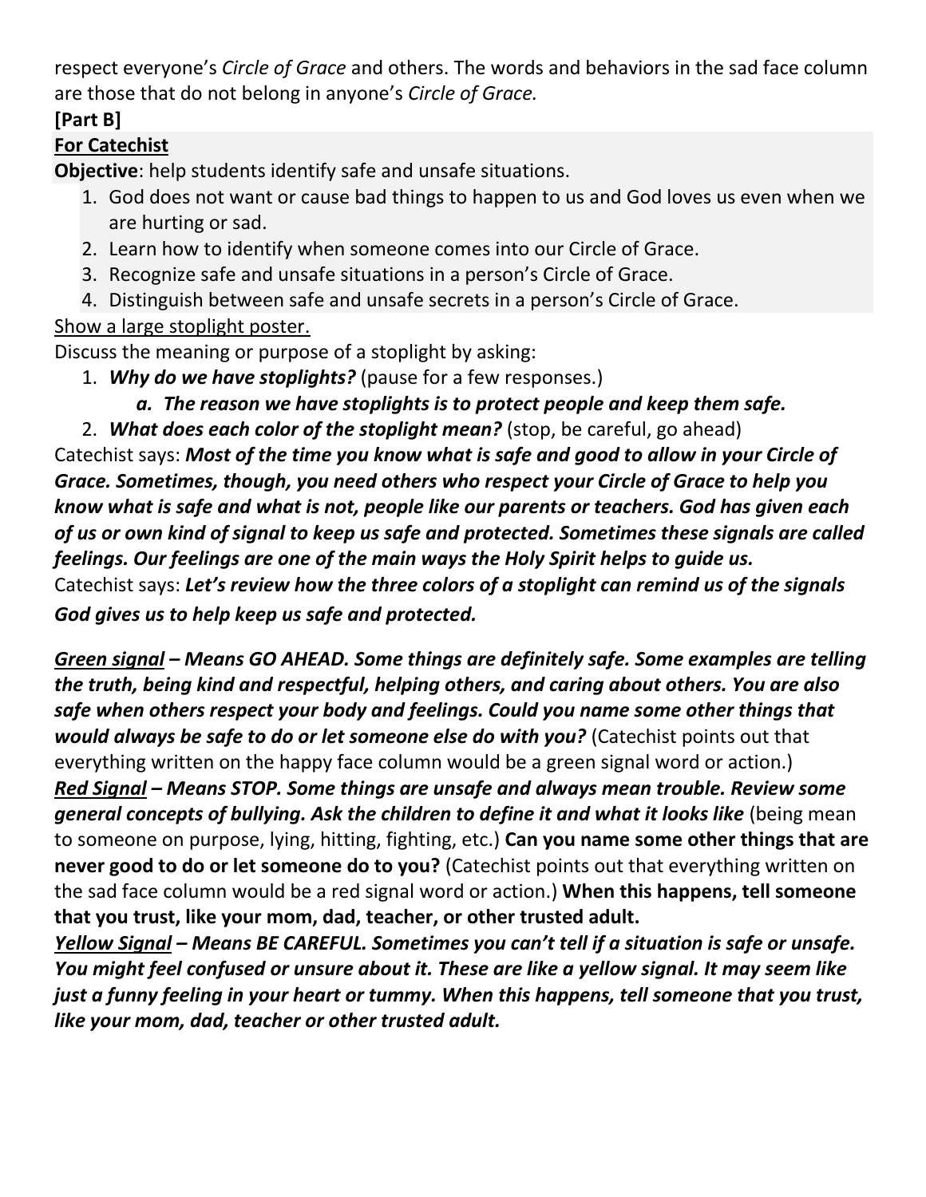respect everyone's *Circle of Grace* and others. The words and behaviors in the sad face column are those that do not belong in anyone's *Circle of Grace.*

## **[Part B]**

## **For Catechist**

**Objective**: help students identify safe and unsafe situations.

- 1. God does not want or cause bad things to happen to us and God loves us even when we are hurting or sad.
- 2. Learn how to identify when someone comes into our Circle of Grace.
- 3. Recognize safe and unsafe situations in a person's Circle of Grace.
- 4. Distinguish between safe and unsafe secrets in a person's Circle of Grace.

## Show a large stoplight poster.

Discuss the meaning or purpose of a stoplight by asking:

- 1. *Why do we have stoplights?* (pause for a few responses.)
	- *a. The reason we have stoplights is to protect people and keep them safe.*

2. *What does each color of the stoplight mean?* (stop, be careful, go ahead) Catechist says: *Most of the time you know what is safe and good to allow in your Circle of Grace. Sometimes, though, you need others who respect your Circle of Grace to help you know what is safe and what is not, people like our parents or teachers. God has given each of us or own kind of signal to keep us safe and protected. Sometimes these signals are called feelings. Our feelings are one of the main ways the Holy Spirit helps to guide us.* Catechist says: *Let's review how the three colors of a stoplight can remind us of the signals God gives us to help keep us safe and protected.*

*Green signal – Means GO AHEAD. Some things are definitely safe. Some examples are telling the truth, being kind and respectful, helping others, and caring about others. You are also safe when others respect your body and feelings. Could you name some other things that would always be safe to do or let someone else do with you?* (Catechist points out that everything written on the happy face column would be a green signal word or action.) *Red Signal – Means STOP. Some things are unsafe and always mean trouble. Review some general concepts of bullying. Ask the children to define it and what it looks like* (being mean to someone on purpose, lying, hitting, fighting, etc.) **Can you name some other things that are never good to do or let someone do to you?** (Catechist points out that everything written on the sad face column would be a red signal word or action.) **When this happens, tell someone that you trust, like your mom, dad, teacher, or other trusted adult.**

*Yellow Signal – Means BE CAREFUL. Sometimes you can't tell if a situation is safe or unsafe. You might feel confused or unsure about it. These are like a yellow signal. It may seem like just a funny feeling in your heart or tummy. When this happens, tell someone that you trust, like your mom, dad, teacher or other trusted adult.*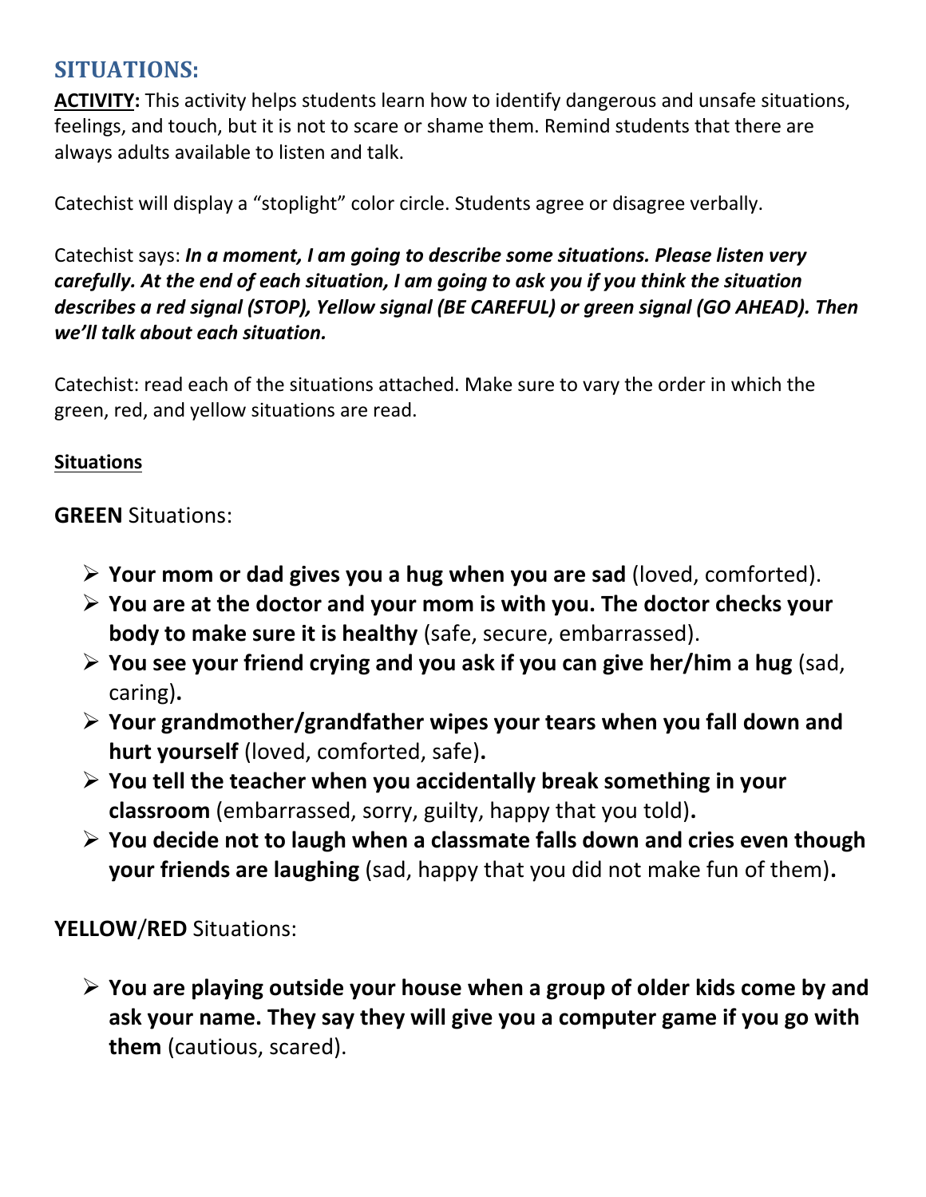# **SITUATIONS:**

**ACTIVITY:** This activity helps students learn how to identify dangerous and unsafe situations, feelings, and touch, but it is not to scare or shame them. Remind students that there are always adults available to listen and talk.

Catechist will display a "stoplight" color circle. Students agree or disagree verbally.

Catechist says: *In a moment, I am going to describe some situations. Please listen very carefully. At the end of each situation, I am going to ask you if you think the situation describes a red signal (STOP), Yellow signal (BE CAREFUL) or green signal (GO AHEAD). Then we'll talk about each situation.*

Catechist: read each of the situations attached. Make sure to vary the order in which the green, red, and yellow situations are read.

#### **Situations**

**GREEN** Situations:

- ➢ **Your mom or dad gives you a hug when you are sad** (loved, comforted).
- ➢ **You are at the doctor and your mom is with you. The doctor checks your body to make sure it is healthy** (safe, secure, embarrassed).
- ➢ **You see your friend crying and you ask if you can give her/him a hug** (sad, caring)**.**
- ➢ **Your grandmother/grandfather wipes your tears when you fall down and hurt yourself** (loved, comforted, safe)**.**
- ➢ **You tell the teacher when you accidentally break something in your classroom** (embarrassed, sorry, guilty, happy that you told)**.**
- ➢ **You decide not to laugh when a classmate falls down and cries even though your friends are laughing** (sad, happy that you did not make fun of them)**.**

**YELLOW**/**RED** Situations:

➢ **You are playing outside your house when a group of older kids come by and ask your name. They say they will give you a computer game if you go with them** (cautious, scared).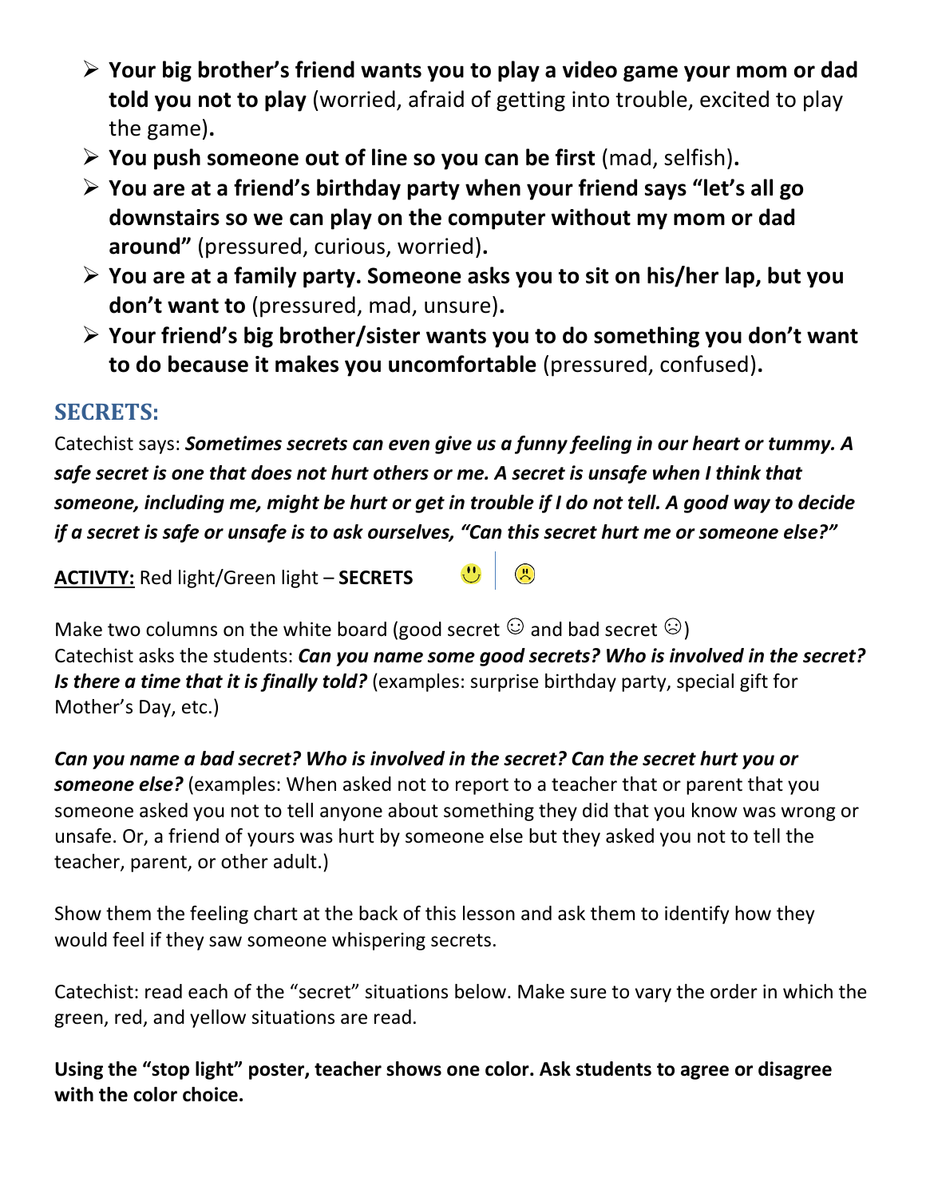- ➢ **Your big brother's friend wants you to play a video game your mom or dad told you not to play** (worried, afraid of getting into trouble, excited to play the game)**.**
- ➢ **You push someone out of line so you can be first** (mad, selfish)**.**
- ➢ **You are at a friend's birthday party when your friend says "let's all go downstairs so we can play on the computer without my mom or dad around"** (pressured, curious, worried)**.**
- ➢ **You are at a family party. Someone asks you to sit on his/her lap, but you don't want to** (pressured, mad, unsure)**.**
- ➢ **Your friend's big brother/sister wants you to do something you don't want to do because it makes you uncomfortable** (pressured, confused)**.**

# **SECRETS:**

Catechist says: *Sometimes secrets can even give us a funny feeling in our heart or tummy. A safe secret is one that does not hurt others or me. A secret is unsafe when I think that someone, including me, might be hurt or get in trouble if I do not tell. A good way to decide if a secret is safe or unsafe is to ask ourselves, "Can this secret hurt me or someone else?"*

**ACTIVTY:** Red light/Green light – **SECRETS** 

Make two columns on the white board (good secret  $\mathbb{G}$  and bad secret  $\mathbb{G}$ ) Catechist asks the students: *Can you name some good secrets? Who is involved in the secret? Is there a time that it is finally told?* (examples: surprise birthday party, special gift for Mother's Day, etc.)

 $\mathbf{E}$ 

*Can you name a bad secret? Who is involved in the secret? Can the secret hurt you or someone else?* (examples: When asked not to report to a teacher that or parent that you someone asked you not to tell anyone about something they did that you know was wrong or unsafe. Or, a friend of yours was hurt by someone else but they asked you not to tell the teacher, parent, or other adult.)

Show them the feeling chart at the back of this lesson and ask them to identify how they would feel if they saw someone whispering secrets.

Catechist: read each of the "secret" situations below. Make sure to vary the order in which the green, red, and yellow situations are read.

**Using the "stop light" poster, teacher shows one color. Ask students to agree or disagree with the color choice.**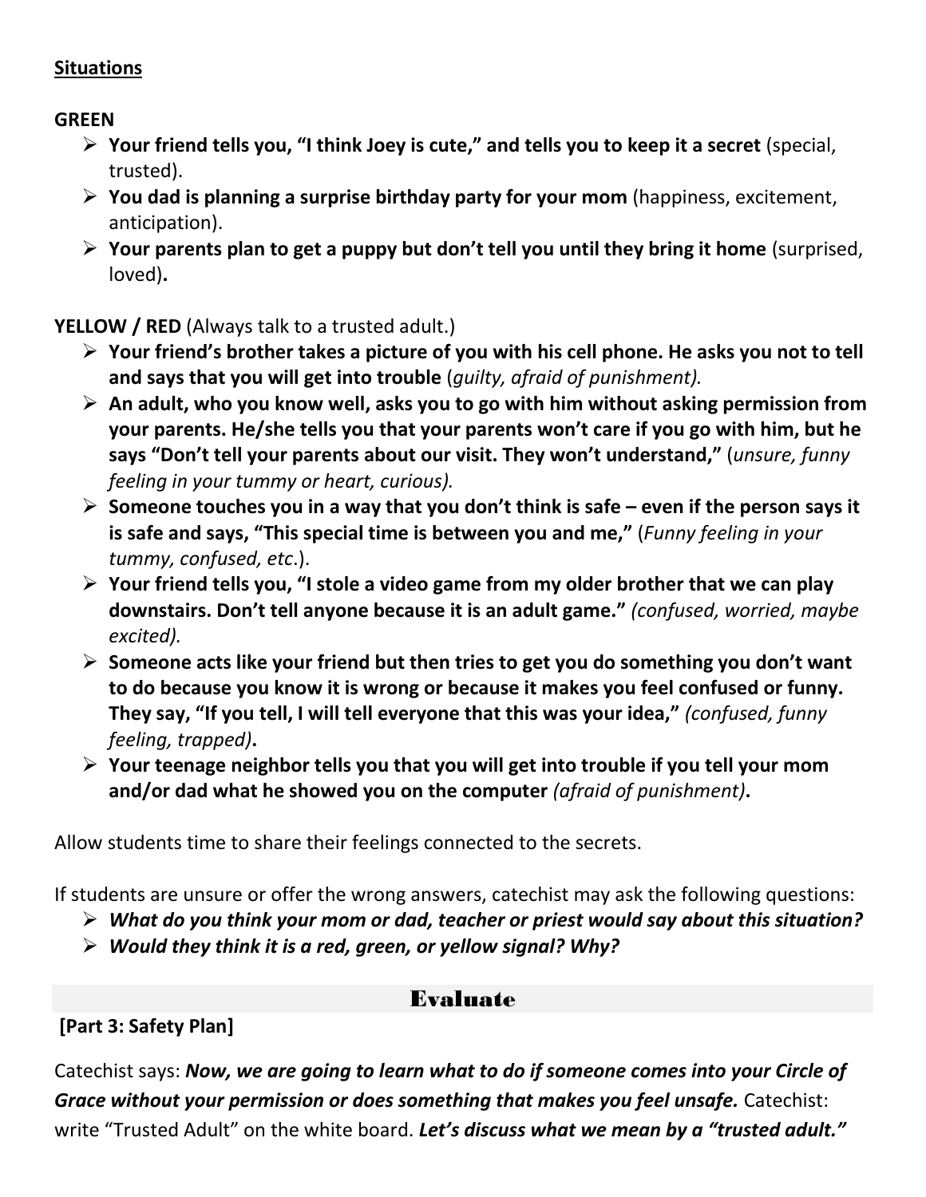#### **Situations**

**GREEN**

- ➢ **Your friend tells you, "I think Joey is cute," and tells you to keep it a secret** (special, trusted).
- ➢ **You dad is planning a surprise birthday party for your mom** (happiness, excitement, anticipation).
- ➢ **Your parents plan to get a puppy but don't tell you until they bring it home** (surprised, loved)**.**

**YELLOW / RED** (Always talk to a trusted adult.)

- ➢ **Your friend's brother takes a picture of you with his cell phone. He asks you not to tell and says that you will get into trouble** (*guilty, afraid of punishment).*
- ➢ **An adult, who you know well, asks you to go with him without asking permission from your parents. He/she tells you that your parents won't care if you go with him, but he says "Don't tell your parents about our visit. They won't understand,"** (*unsure, funny feeling in your tummy or heart, curious).*
- ➢ **Someone touches you in a way that you don't think is safe – even if the person says it is safe and says, "This special time is between you and me,"** (*Funny feeling in your tummy, confused, etc*.).
- ➢ **Your friend tells you, "I stole a video game from my older brother that we can play downstairs. Don't tell anyone because it is an adult game."** *(confused, worried, maybe excited).*
- ➢ **Someone acts like your friend but then tries to get you do something you don't want to do because you know it is wrong or because it makes you feel confused or funny. They say, "If you tell, I will tell everyone that this was your idea,"** *(confused, funny feeling, trapped)***.**
- ➢ **Your teenage neighbor tells you that you will get into trouble if you tell your mom and/or dad what he showed you on the computer** *(afraid of punishment)***.**

Allow students time to share their feelings connected to the secrets.

If students are unsure or offer the wrong answers, catechist may ask the following questions:

- ➢ *What do you think your mom or dad, teacher or priest would say about this situation?*
- ➢ *Would they think it is a red, green, or yellow signal? Why?*

## Evaluate

**[Part 3: Safety Plan]**

Catechist says: *Now, we are going to learn what to do if someone comes into your Circle of Grace without your permission or does something that makes you feel unsafe.* Catechist: write "Trusted Adult" on the white board. *Let's discuss what we mean by a "trusted adult."*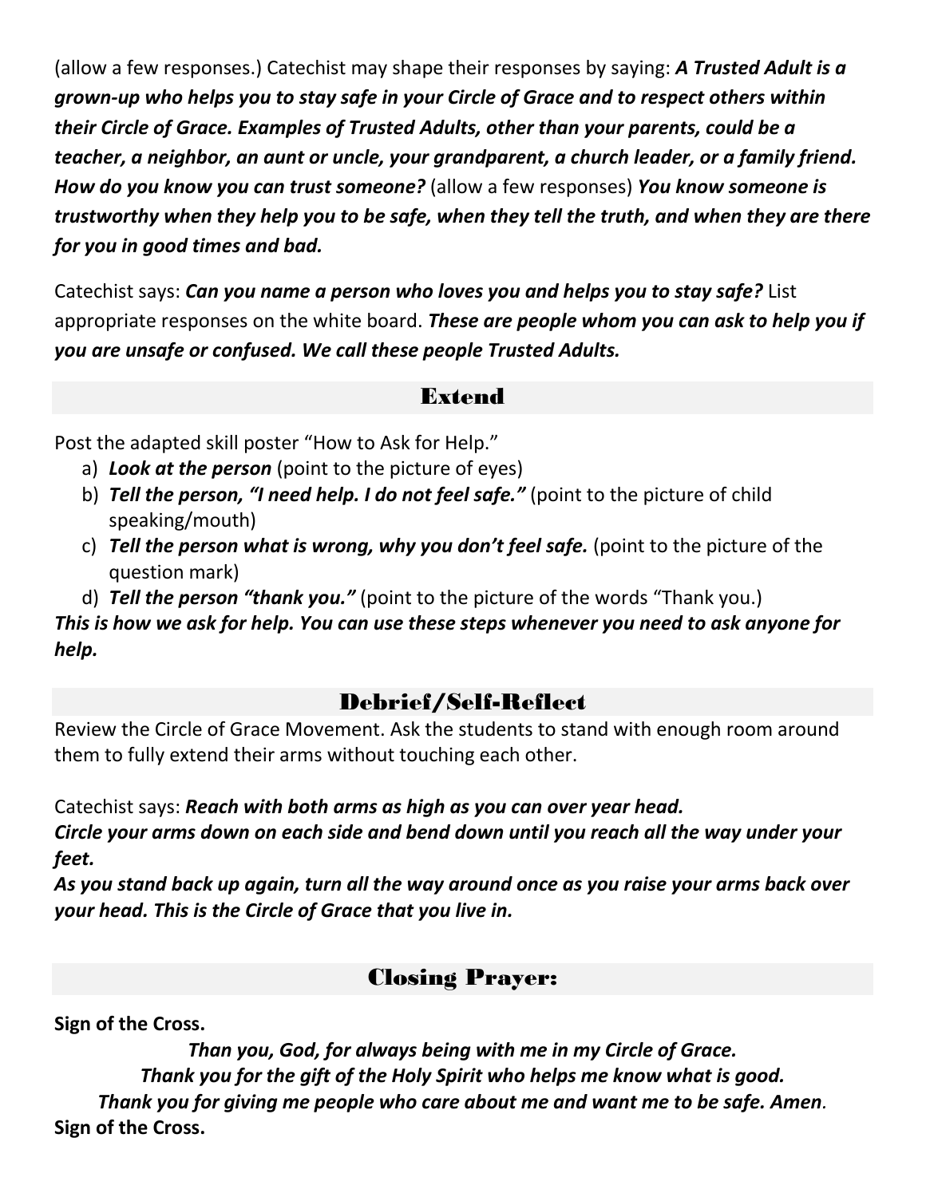(allow a few responses.) Catechist may shape their responses by saying: *A Trusted Adult is a grown-up who helps you to stay safe in your Circle of Grace and to respect others within their Circle of Grace. Examples of Trusted Adults, other than your parents, could be a teacher, a neighbor, an aunt or uncle, your grandparent, a church leader, or a family friend. How do you know you can trust someone?* (allow a few responses) *You know someone is trustworthy when they help you to be safe, when they tell the truth, and when they are there for you in good times and bad.*

Catechist says: *Can you name a person who loves you and helps you to stay safe?* List appropriate responses on the white board. *These are people whom you can ask to help you if you are unsafe or confused. We call these people Trusted Adults.* 

#### Extend

Post the adapted skill poster "How to Ask for Help."

- a) *Look at the person* (point to the picture of eyes)
- b) *Tell the person, "I need help. I do not feel safe."* (point to the picture of child speaking/mouth)
- c) *Tell the person what is wrong, why you don't feel safe.* (point to the picture of the question mark)

d) *Tell the person "thank you."* (point to the picture of the words "Thank you.) *This is how we ask for help. You can use these steps whenever you need to ask anyone for help.* 

## Debrief/Self-Reflect

Review the Circle of Grace Movement. Ask the students to stand with enough room around them to fully extend their arms without touching each other.

Catechist says: *Reach with both arms as high as you can over year head. Circle your arms down on each side and bend down until you reach all the way under your feet.*

*As you stand back up again, turn all the way around once as you raise your arms back over your head. This is the Circle of Grace that you live in.*

## Closing Prayer:

**Sign of the Cross.**

*Than you, God, for always being with me in my Circle of Grace. Thank you for the gift of the Holy Spirit who helps me know what is good. Thank you for giving me people who care about me and want me to be safe. Amen.* **Sign of the Cross.**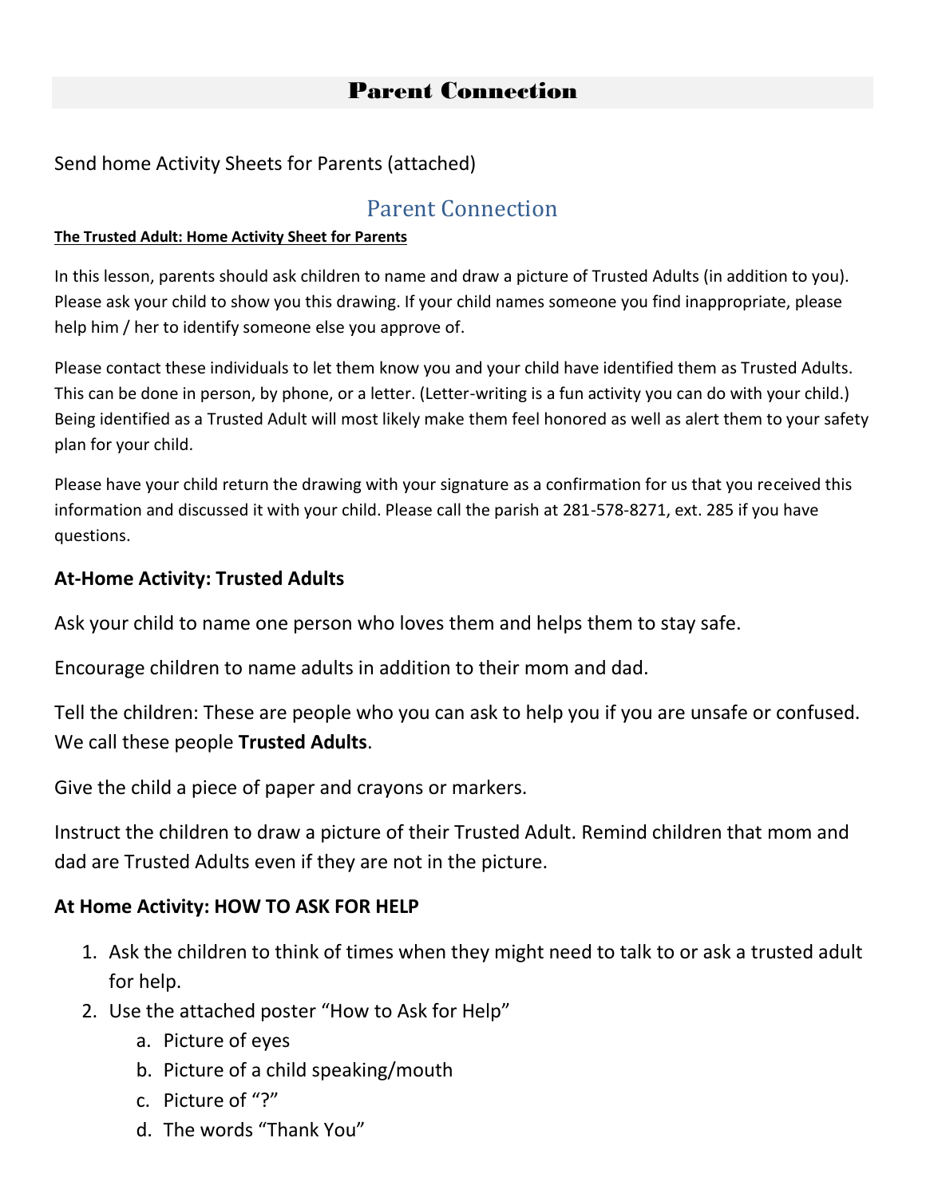#### Send home Activity Sheets for Parents (attached)

## Parent Connection

#### **The Trusted Adult: Home Activity Sheet for Parents**

In this lesson, parents should ask children to name and draw a picture of Trusted Adults (in addition to you). Please ask your child to show you this drawing. If your child names someone you find inappropriate, please help him / her to identify someone else you approve of.

Please contact these individuals to let them know you and your child have identified them as Trusted Adults. This can be done in person, by phone, or a letter. (Letter-writing is a fun activity you can do with your child.) Being identified as a Trusted Adult will most likely make them feel honored as well as alert them to your safety plan for your child.

Please have your child return the drawing with your signature as a confirmation for us that you received this information and discussed it with your child. Please call the parish at 281-578-8271, ext. 285 if you have questions.

#### **At-Home Activity: Trusted Adults**

Ask your child to name one person who loves them and helps them to stay safe.

Encourage children to name adults in addition to their mom and dad.

Tell the children: These are people who you can ask to help you if you are unsafe or confused. We call these people **Trusted Adults**.

Give the child a piece of paper and crayons or markers.

Instruct the children to draw a picture of their Trusted Adult. Remind children that mom and dad are Trusted Adults even if they are not in the picture.

#### **At Home Activity: HOW TO ASK FOR HELP**

- 1. Ask the children to think of times when they might need to talk to or ask a trusted adult for help.
- 2. Use the attached poster "How to Ask for Help"
	- a. Picture of eyes
	- b. Picture of a child speaking/mouth
	- c. Picture of "?"
	- d. The words "Thank You"